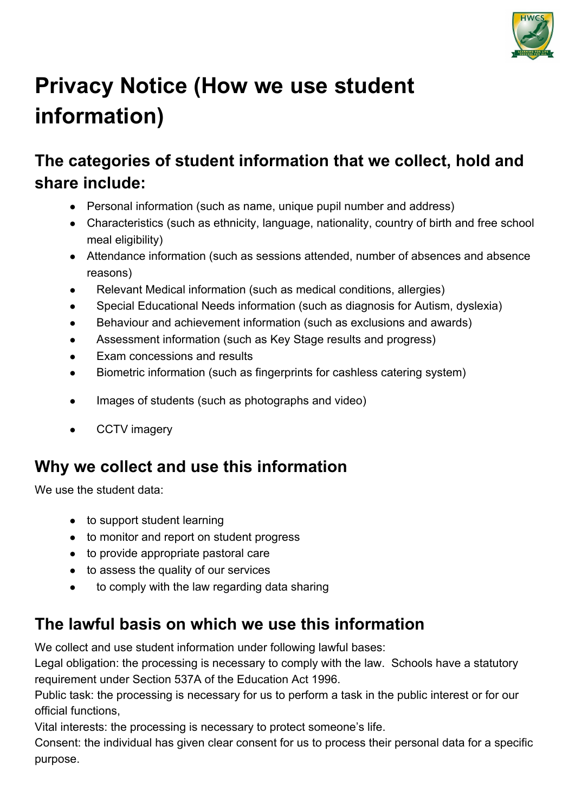

# **Privacy Notice (How we use student information)**

#### **The categories of student information that we collect, hold and share include:**

- Personal information (such as name, unique pupil number and address)
- Characteristics (such as ethnicity, language, nationality, country of birth and free school meal eligibility)
- Attendance information (such as sessions attended, number of absences and absence reasons)
- Relevant Medical information (such as medical conditions, allergies)
- Special Educational Needs information (such as diagnosis for Autism, dyslexia)
- Behaviour and achievement information (such as exclusions and awards)
- Assessment information (such as Key Stage results and progress)
- Exam concessions and results
- Biometric information (such as fingerprints for cashless catering system)
- Images of students (such as photographs and video)
- CCTV imagery

## **Why we collect and use this information**

We use the student data:

- to support student learning
- to monitor and report on student progress
- to provide appropriate pastoral care
- to assess the quality of our services
- to comply with the law regarding data sharing

#### **The lawful basis on which we use this information**

We collect and use student information under following lawful bases:

Legal obligation: the processing is necessary to comply with the law. Schools have a statutory requirement under Section 537A of the Education Act 1996.

Public task: the processing is necessary for us to perform a task in the public interest or for our official functions,

Vital interests: the processing is necessary to protect someone's life.

Consent: the individual has given clear consent for us to process their personal data for a specific purpose.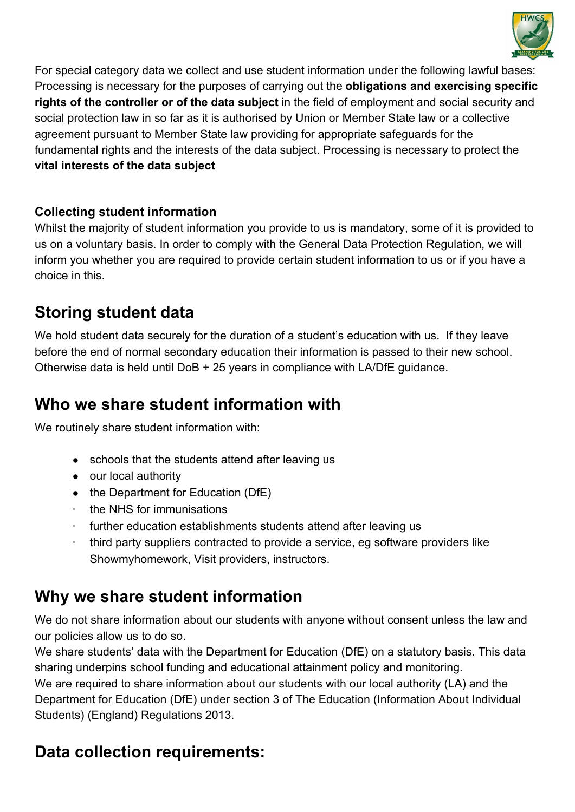

For special category data we collect and use student information under the following lawful bases: Processing is necessary for the purposes of carrying out the **obligations and exercising specific rights of the controller or of the data subject** in the field of employment and social security and social protection law in so far as it is authorised by Union or Member State law or a collective agreement pursuant to Member State law providing for appropriate safeguards for the fundamental rights and the interests of the data subject. Processing is necessary to protect the **vital interests of the data subject**

#### **Collecting student information**

Whilst the majority of student information you provide to us is mandatory, some of it is provided to us on a voluntary basis. In order to comply with the General Data Protection Regulation, we will inform you whether you are required to provide certain student information to us or if you have a choice in this.

#### **Storing student data**

We hold student data securely for the duration of a student's education with us. If they leave before the end of normal secondary education their information is passed to their new school. Otherwise data is held until DoB + 25 years in compliance with LA/DfE guidance.

#### **Who we share student information with**

We routinely share student information with:

- schools that the students attend after leaving us
- our local authority
- the Department for Education (DfE)
- the NHS for immunisations
- further education establishments students attend after leaving us
- · third party suppliers contracted to provide a service, eg software providers like Showmyhomework, Visit providers, instructors.

#### **Why we share student information**

We do not share information about our students with anyone without consent unless the law and our policies allow us to do so.

We share students' data with the Department for Education (DfE) on a statutory basis. This data sharing underpins school funding and educational attainment policy and monitoring.

We are required to share information about our students with our local authority (LA) and the Department for Education (DfE) under section 3 of The Education (Information About Individual Students) (England) Regulations 2013.

## **Data collection requirements:**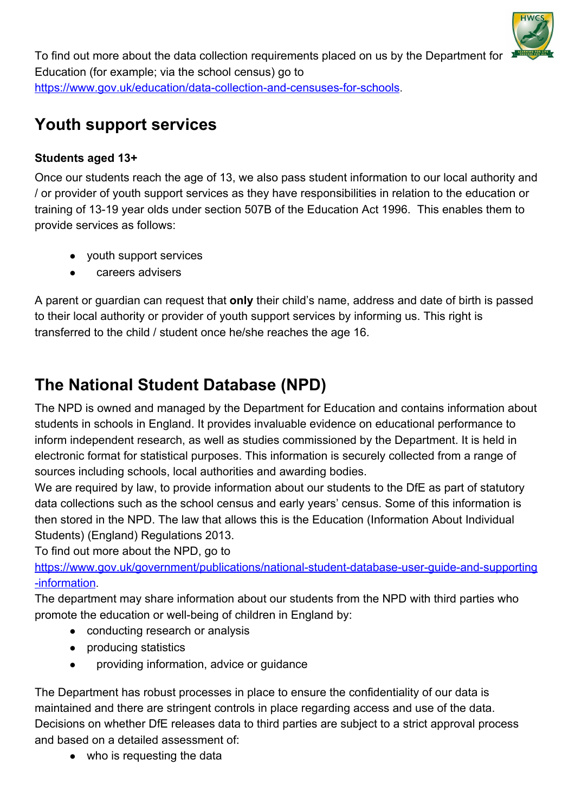

To find out more about the data collection requirements placed on us by the Department for Education (for example; via the school census) go to <https://www.gov.uk/education/data-collection-and-censuses-for-schools>.

#### **Youth support services**

#### **Students aged 13+**

Once our students reach the age of 13, we also pass student information to our local authority and / or provider of youth support services as they have responsibilities in relation to the education or training of 13-19 year olds under section 507B of the Education Act 1996. This enables them to provide services as follows:

- youth support services
- careers advisers

A parent or guardian can request that **only** their child's name, address and date of birth is passed to their local authority or provider of youth support services by informing us. This right is transferred to the child / student once he/she reaches the age 16.

## **The National Student Database (NPD)**

The NPD is owned and managed by the Department for Education and contains information about students in schools in England. It provides invaluable evidence on educational performance to inform independent research, as well as studies commissioned by the Department. It is held in electronic format for statistical purposes. This information is securely collected from a range of sources including schools, local authorities and awarding bodies.

We are required by law, to provide information about our students to the DfE as part of statutory data collections such as the school census and early years' census. Some of this information is then stored in the NPD. The law that allows this is the Education (Information About Individual Students) (England) Regulations 2013.

To find out more about the NPD, go to

[https://www.gov.uk/government/publications/national-student-database-user-guide-and-supporting](https://www.gov.uk/government/publications/national-pupil-database-user-guide-and-supporting-information) [-information](https://www.gov.uk/government/publications/national-pupil-database-user-guide-and-supporting-information).

The department may share information about our students from the NPD with third parties who promote the education or well-being of children in England by:

- conducting research or analysis
- producing statistics
- providing information, advice or guidance

The Department has robust processes in place to ensure the confidentiality of our data is maintained and there are stringent controls in place regarding access and use of the data. Decisions on whether DfE releases data to third parties are subject to a strict approval process and based on a detailed assessment of:

• who is requesting the data